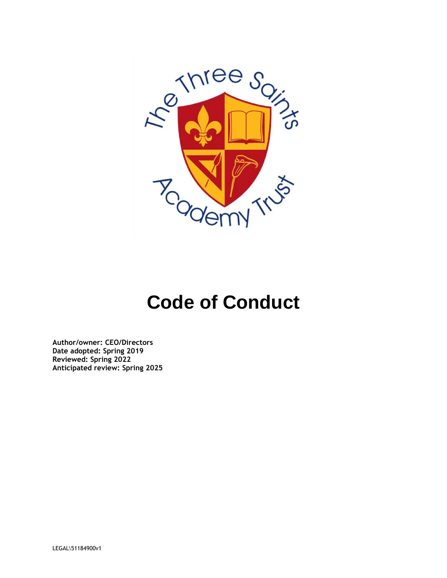

# **Code of Conduct**

**Author/owner: CEO/Directors Date adopted: Spring 2019 Reviewed: Spring 2022 Anticipated review: Spring 2025**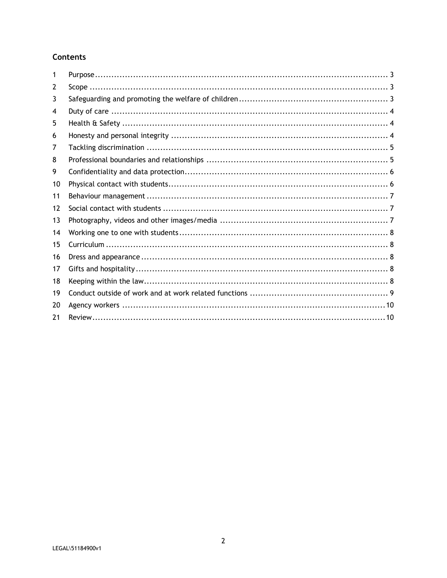## **Contents**

| 1  |  |
|----|--|
| 2  |  |
| 3  |  |
| 4  |  |
| 5  |  |
| 6  |  |
| 7  |  |
| 8  |  |
| 9  |  |
| 10 |  |
| 11 |  |
| 12 |  |
| 13 |  |
| 14 |  |
| 15 |  |
| 16 |  |
| 17 |  |
| 18 |  |
| 19 |  |
| 20 |  |
| 21 |  |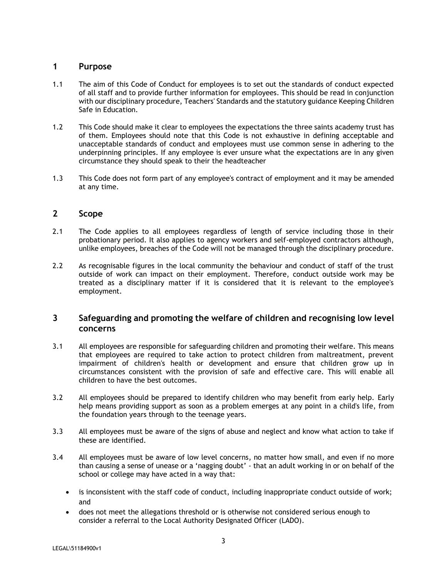## <span id="page-2-0"></span>**1 Purpose**

- 1.1 The aim of this Code of Conduct for employees is to set out the standards of conduct expected of all staff and to provide further information for employees. This should be read in conjunction with our disciplinary procedure, Teachers' Standards and the statutory guidance Keeping Children Safe in Education.
- 1.2 This Code should make it clear to employees the expectations the three saints academy trust has of them. Employees should note that this Code is not exhaustive in defining acceptable and unacceptable standards of conduct and employees must use common sense in adhering to the underpinning principles. If any employee is ever unsure what the expectations are in any given circumstance they should speak to their the headteacher
- 1.3 This Code does not form part of any employee's contract of employment and it may be amended at any time.

## <span id="page-2-1"></span>**2 Scope**

- 2.1 The Code applies to all employees regardless of length of service including those in their probationary period. It also applies to agency workers and self-employed contractors although, unlike employees, breaches of the Code will not be managed through the disciplinary procedure.
- 2.2 As recognisable figures in the local community the behaviour and conduct of staff of the trust outside of work can impact on their employment. Therefore, conduct outside work may be treated as a disciplinary matter if it is considered that it is relevant to the employee's employment.

## <span id="page-2-2"></span>**3 Safeguarding and promoting the welfare of children and recognising low level concerns**

- 3.1 All employees are responsible for safeguarding children and promoting their welfare. This means that employees are required to take action to protect children from maltreatment, prevent impairment of children's health or development and ensure that children grow up in circumstances consistent with the provision of safe and effective care. This will enable all children to have the best outcomes.
- 3.2 All employees should be prepared to identify children who may benefit from early help. Early help means providing support as soon as a problem emerges at any point in a child's life, from the foundation years through to the teenage years.
- 3.3 All employees must be aware of the signs of abuse and neglect and know what action to take if these are identified.
- 3.4 All employees must be aware of low level concerns, no matter how small, and even if no more than causing a sense of unease or a 'nagging doubt' - that an adult working in or on behalf of the school or college may have acted in a way that:
	- is inconsistent with the staff code of conduct, including inappropriate conduct outside of work; and
	- does not meet the allegations threshold or is otherwise not considered serious enough to consider a referral to the Local Authority Designated Officer (LADO).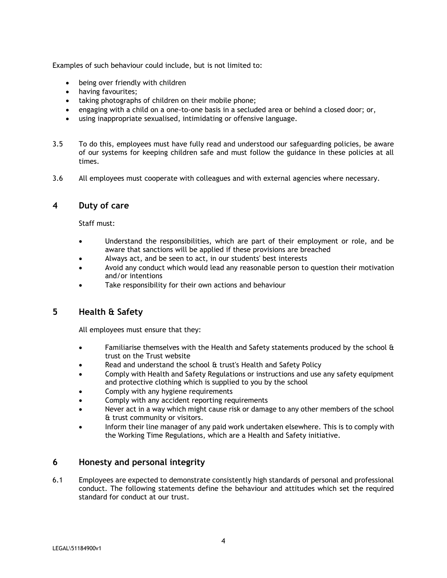Examples of such behaviour could include, but is not limited to:

- being over friendly with children
- having favourites;
- taking photographs of children on their mobile phone;
- engaging with a child on a one-to-one basis in a secluded area or behind a closed door; or,
- using inappropriate sexualised, intimidating or offensive language.
- 3.5 To do this, employees must have fully read and understood our safeguarding policies, be aware of our systems for keeping children safe and must follow the guidance in these policies at all times.
- 3.6 All employees must cooperate with colleagues and with external agencies where necessary.

#### <span id="page-3-0"></span>**4 Duty of care**

Staff must:

- Understand the responsibilities, which are part of their employment or role, and be aware that sanctions will be applied if these provisions are breached
- Always act, and be seen to act, in our students' best interests
- Avoid any conduct which would lead any reasonable person to question their motivation and/or intentions
- Take responsibility for their own actions and behaviour

## <span id="page-3-1"></span>**5 Health & Safety**

All employees must ensure that they:

- Familiarise themselves with the Health and Safety statements produced by the school & trust on the Trust website
- Read and understand the school & trust's Health and Safety Policy
- Comply with Health and Safety Regulations or instructions and use any safety equipment and protective clothing which is supplied to you by the school
- Comply with any hygiene requirements
- Comply with any accident reporting requirements
- Never act in a way which might cause risk or damage to any other members of the school & trust community or visitors.
- Inform their line manager of any paid work undertaken elsewhere. This is to comply with the Working Time Regulations, which are a Health and Safety initiative.

## <span id="page-3-2"></span>**6 Honesty and personal integrity**

6.1 Employees are expected to demonstrate consistently high standards of personal and professional conduct. The following statements define the behaviour and attitudes which set the required standard for conduct at our trust.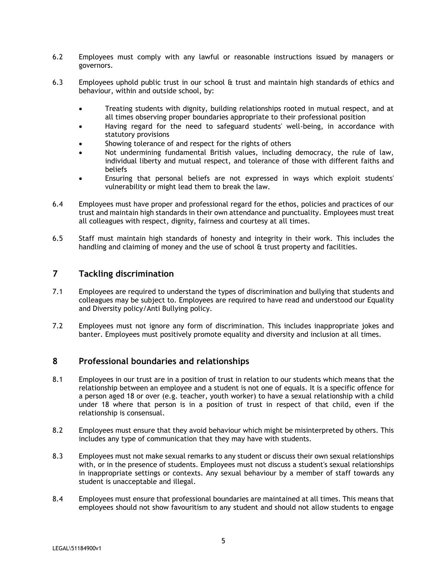- 6.2 Employees must comply with any lawful or reasonable instructions issued by managers or governors.
- 6.3 Employees uphold public trust in our school & trust and maintain high standards of ethics and behaviour, within and outside school, by:
	- Treating students with dignity, building relationships rooted in mutual respect, and at all times observing proper boundaries appropriate to their professional position
	- Having regard for the need to safeguard students' well-being, in accordance with statutory provisions
	- Showing tolerance of and respect for the rights of others
	- Not undermining fundamental British values, including democracy, the rule of law, individual liberty and mutual respect, and tolerance of those with different faiths and beliefs
	- Ensuring that personal beliefs are not expressed in ways which exploit students' vulnerability or might lead them to break the law.
- 6.4 Employees must have proper and professional regard for the ethos, policies and practices of our trust and maintain high standards in their own attendance and punctuality. Employees must treat all colleagues with respect, dignity, fairness and courtesy at all times.
- 6.5 Staff must maintain high standards of honesty and integrity in their work. This includes the handling and claiming of money and the use of school & trust property and facilities.

## <span id="page-4-0"></span>**7 Tackling discrimination**

- 7.1 Employees are required to understand the types of discrimination and bullying that students and colleagues may be subject to. Employees are required to have read and understood our Equality and Diversity policy/Anti Bullying policy.
- 7.2 Employees must not ignore any form of discrimination. This includes inappropriate jokes and banter. Employees must positively promote equality and diversity and inclusion at all times.

#### <span id="page-4-1"></span>**8 Professional boundaries and relationships**

- 8.1 Employees in our trust are in a position of trust in relation to our students which means that the relationship between an employee and a student is not one of equals. It is a specific offence for a person aged 18 or over (e.g. teacher, youth worker) to have a sexual relationship with a child under 18 where that person is in a position of trust in respect of that child, even if the relationship is consensual.
- 8.2 Employees must ensure that they avoid behaviour which might be misinterpreted by others. This includes any type of communication that they may have with students.
- 8.3 Employees must not make sexual remarks to any student or discuss their own sexual relationships with, or in the presence of students. Employees must not discuss a student's sexual relationships in inappropriate settings or contexts. Any sexual behaviour by a member of staff towards any student is unacceptable and illegal.
- 8.4 Employees must ensure that professional boundaries are maintained at all times. This means that employees should not show favouritism to any student and should not allow students to engage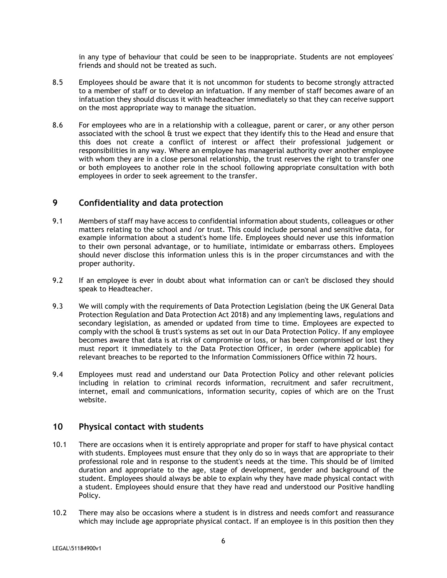in any type of behaviour that could be seen to be inappropriate. Students are not employees' friends and should not be treated as such.

- 8.5 Employees should be aware that it is not uncommon for students to become strongly attracted to a member of staff or to develop an infatuation. If any member of staff becomes aware of an infatuation they should discuss it with headteacher immediately so that they can receive support on the most appropriate way to manage the situation.
- 8.6 For employees who are in a relationship with a colleague, parent or carer, or any other person associated with the school & trust we expect that they identify this to the Head and ensure that this does not create a conflict of interest or affect their professional judgement or responsibilities in any way. Where an employee has managerial authority over another employee with whom they are in a close personal relationship, the trust reserves the right to transfer one or both employees to another role in the school following appropriate consultation with both employees in order to seek agreement to the transfer.

## <span id="page-5-0"></span>**9 Confidentiality and data protection**

- 9.1 Members of staff may have access to confidential information about students, colleagues or other matters relating to the school and /or trust. This could include personal and sensitive data, for example information about a student's home life. Employees should never use this information to their own personal advantage, or to humiliate, intimidate or embarrass others. Employees should never disclose this information unless this is in the proper circumstances and with the proper authority.
- 9.2 If an employee is ever in doubt about what information can or can't be disclosed they should speak to Headteacher.
- 9.3 We will comply with the requirements of Data Protection Legislation (being the UK General Data Protection Regulation and Data Protection Act 2018) and any implementing laws, regulations and secondary legislation, as amended or updated from time to time. Employees are expected to comply with the school & trust's systems as set out in our Data Protection Policy. If any employee becomes aware that data is at risk of compromise or loss, or has been compromised or lost they must report it immediately to the Data Protection Officer, in order (where applicable) for relevant breaches to be reported to the Information Commissioners Office within 72 hours.
- 9.4 Employees must read and understand our Data Protection Policy and other relevant policies including in relation to criminal records information, recruitment and safer recruitment, internet, email and communications, information security, copies of which are on the Trust website.

## <span id="page-5-1"></span>**10 Physical contact with students**

- 10.1 There are occasions when it is entirely appropriate and proper for staff to have physical contact with students. Employees must ensure that they only do so in ways that are appropriate to their professional role and in response to the student's needs at the time. This should be of limited duration and appropriate to the age, stage of development, gender and background of the student. Employees should always be able to explain why they have made physical contact with a student. Employees should ensure that they have read and understood our Positive handling Policy.
- 10.2 There may also be occasions where a student is in distress and needs comfort and reassurance which may include age appropriate physical contact. If an employee is in this position then they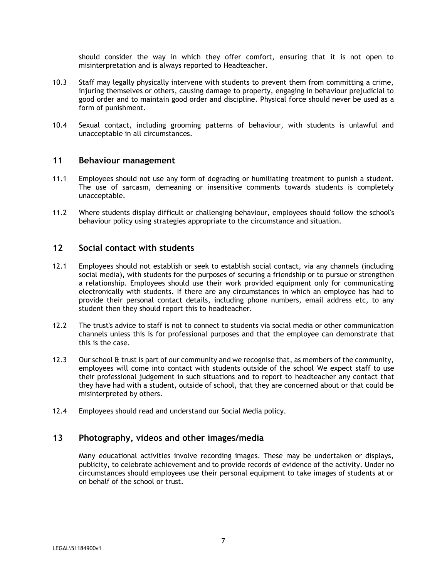should consider the way in which they offer comfort, ensuring that it is not open to misinterpretation and is always reported to Headteacher.

- 10.3 Staff may legally physically intervene with students to prevent them from committing a crime, injuring themselves or others, causing damage to property, engaging in behaviour prejudicial to good order and to maintain good order and discipline. Physical force should never be used as a form of punishment.
- 10.4 Sexual contact, including grooming patterns of behaviour, with students is unlawful and unacceptable in all circumstances.

#### <span id="page-6-0"></span>**11 Behaviour management**

- 11.1 Employees should not use any form of degrading or humiliating treatment to punish a student. The use of sarcasm, demeaning or insensitive comments towards students is completely unacceptable.
- 11.2 Where students display difficult or challenging behaviour, employees should follow the school's behaviour policy using strategies appropriate to the circumstance and situation.

#### <span id="page-6-1"></span>**12 Social contact with students**

- 12.1 Employees should not establish or seek to establish social contact, via any channels (including social media), with students for the purposes of securing a friendship or to pursue or strengthen a relationship. Employees should use their work provided equipment only for communicating electronically with students. If there are any circumstances in which an employee has had to provide their personal contact details, including phone numbers, email address etc, to any student then they should report this to headteacher.
- 12.2 The trust's advice to staff is not to connect to students via social media or other communication channels unless this is for professional purposes and that the employee can demonstrate that this is the case.
- 12.3 Our school & trust is part of our community and we recognise that, as members of the community, employees will come into contact with students outside of the school We expect staff to use their professional judgement in such situations and to report to headteacher any contact that they have had with a student, outside of school, that they are concerned about or that could be misinterpreted by others.
- 12.4 Employees should read and understand our Social Media policy.

## <span id="page-6-2"></span>**13 Photography, videos and other images/media**

Many educational activities involve recording images. These may be undertaken or displays, publicity, to celebrate achievement and to provide records of evidence of the activity. Under no circumstances should employees use their personal equipment to take images of students at or on behalf of the school or trust.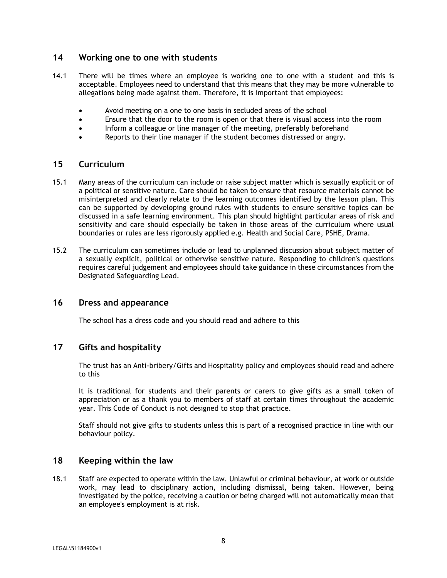## <span id="page-7-0"></span>**14 Working one to one with students**

- 14.1 There will be times where an employee is working one to one with a student and this is acceptable. Employees need to understand that this means that they may be more vulnerable to allegations being made against them. Therefore, it is important that employees:
	- Avoid meeting on a one to one basis in secluded areas of the school
	- Ensure that the door to the room is open or that there is visual access into the room
	- Inform a colleague or line manager of the meeting, preferably beforehand
	- Reports to their line manager if the student becomes distressed or angry.

#### <span id="page-7-1"></span>**15 Curriculum**

- 15.1 Many areas of the curriculum can include or raise subject matter which is sexually explicit or of a political or sensitive nature. Care should be taken to ensure that resource materials cannot be misinterpreted and clearly relate to the learning outcomes identified by the lesson plan. This can be supported by developing ground rules with students to ensure sensitive topics can be discussed in a safe learning environment. This plan should highlight particular areas of risk and sensitivity and care should especially be taken in those areas of the curriculum where usual boundaries or rules are less rigorously applied e.g. Health and Social Care, PSHE, Drama.
- 15.2 The curriculum can sometimes include or lead to unplanned discussion about subject matter of a sexually explicit, political or otherwise sensitive nature. Responding to children's questions requires careful judgement and employees should take guidance in these circumstances from the Designated Safeguarding Lead.

## <span id="page-7-2"></span>**16 Dress and appearance**

The school has a dress code and you should read and adhere to this

## <span id="page-7-3"></span>**17 Gifts and hospitality**

The trust has an Anti-bribery/Gifts and Hospitality policy and employees should read and adhere to this

It is traditional for students and their parents or carers to give gifts as a small token of appreciation or as a thank you to members of staff at certain times throughout the academic year. This Code of Conduct is not designed to stop that practice.

Staff should not give gifts to students unless this is part of a recognised practice in line with our behaviour policy.

#### <span id="page-7-4"></span>**18 Keeping within the law**

18.1 Staff are expected to operate within the law. Unlawful or criminal behaviour, at work or outside work, may lead to disciplinary action, including dismissal, being taken. However, being investigated by the police, receiving a caution or being charged will not automatically mean that an employee's employment is at risk.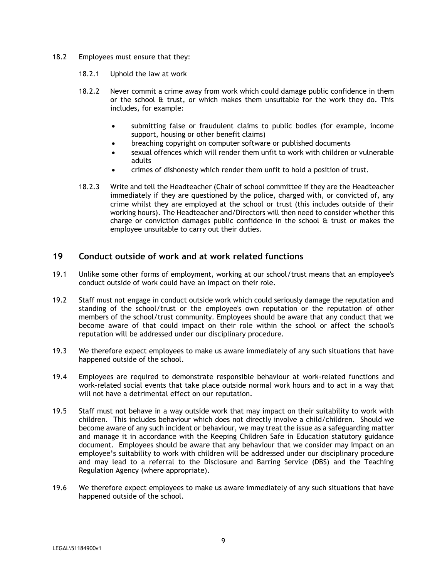- 18.2 Employees must ensure that they:
	- 18.2.1 Uphold the law at work
	- 18.2.2 Never commit a crime away from work which could damage public confidence in them or the school  $\theta$  trust, or which makes them unsuitable for the work they do. This includes, for example:
		- submitting false or fraudulent claims to public bodies (for example, income support, housing or other benefit claims)
		- breaching copyright on computer software or published documents
		- sexual offences which will render them unfit to work with children or vulnerable adults
		- crimes of dishonesty which render them unfit to hold a position of trust.
	- 18.2.3 Write and tell the Headteacher (Chair of school committee if they are the Headteacher immediately if they are questioned by the police, charged with, or convicted of, any crime whilst they are employed at the school or trust (this includes outside of their working hours). The Headteacher and/Directors will then need to consider whether this charge or conviction damages public confidence in the school & trust or makes the employee unsuitable to carry out their duties.

## <span id="page-8-0"></span>**19 Conduct outside of work and at work related functions**

- 19.1 Unlike some other forms of employment, working at our school/trust means that an employee's conduct outside of work could have an impact on their role.
- 19.2 Staff must not engage in conduct outside work which could seriously damage the reputation and standing of the school/trust or the employee's own reputation or the reputation of other members of the school/trust community. Employees should be aware that any conduct that we become aware of that could impact on their role within the school or affect the school's reputation will be addressed under our disciplinary procedure.
- 19.3 We therefore expect employees to make us aware immediately of any such situations that have happened outside of the school.
- 19.4 Employees are required to demonstrate responsible behaviour at work-related functions and work-related social events that take place outside normal work hours and to act in a way that will not have a detrimental effect on our reputation.
- 19.5 Staff must not behave in a way outside work that may impact on their suitability to work with children. This includes behaviour which does not directly involve a child/children. Should we become aware of any such incident or behaviour, we may treat the issue as a safeguarding matter and manage it in accordance with the Keeping Children Safe in Education statutory guidance document. Employees should be aware that any behaviour that we consider may impact on an employee's suitability to work with children will be addressed under our disciplinary procedure and may lead to a referral to the Disclosure and Barring Service (DBS) and the Teaching Regulation Agency (where appropriate).
- 19.6 We therefore expect employees to make us aware immediately of any such situations that have happened outside of the school.